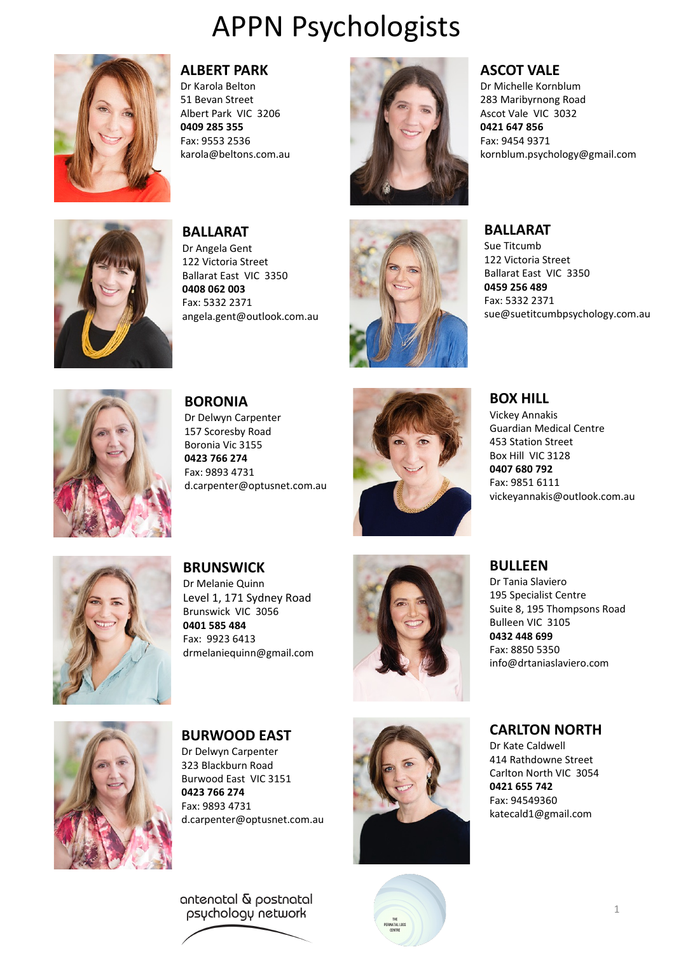

### **ALBERT PARK**

Dr Karola Belton 51 Bevan Street Albert Park VIC 3206 **0409 285 355** Fax: 9553 2536 karola@beltons.com.au



### **ASCOT VALE**

Dr Michelle Kornblum 283 Maribyrnong Road Ascot Vale VIC 3032 **0421 647 856** Fax: 9454 9371 kornblum.psychology@gmail.com



**BALLARAT** Dr Angela Gent 122 Victoria Street Ballarat East VIC 3350 **0408 062 003** Fax: 5332 2371 angela.gent@outlook.com.au



### **BALLARAT**

Sue Titcumb 122 Victoria Street Ballarat East VIC 3350 **0459 256 489** Fax: 5332 2371 sue@suetitcumbpsychology.com.au



**BORONIA** Dr Delwyn Carpenter 157 Scoresby Road Boronia Vic 3155 **0423 766 274** Fax: 9893 4731 d.carpenter@optusnet.com.au



**BOX HILL**

Vickey Annakis Guardian Medical Centre 453 Station Street Box Hill VIC 3128 **0407 680 792** Fax: 9851 6111 vickeyannakis@outlook.com.au



**BRUNSWICK** Dr Melanie Quinn Level 1, 171 Sydney Road Brunswick VIC 3056 **0401 585 484** Fax: 9923 6413 drmelaniequinn@gmail.com



## **BULLEEN**

Dr Tania Slaviero 195 Specialist Centre Suite 8, 195 Thompsons Road Bulleen VIC 3105 **0432 448 699** Fax: 8850 5350 info@drtaniaslaviero.com



**BURWOOD EAST** Dr Delwyn Carpenter 323 Blackburn Road Burwood East VIC 3151

**0423 766 274** Fax: 9893 4731 d.carpenter@optusnet.com.au

antenatal & postnatal psychology network





**CARLTON NORTH**

Dr Kate Caldwell 414 Rathdowne Street Carlton North VIC 3054 **0421 655 742**  Fax: 94549360 katecald1@gmail.com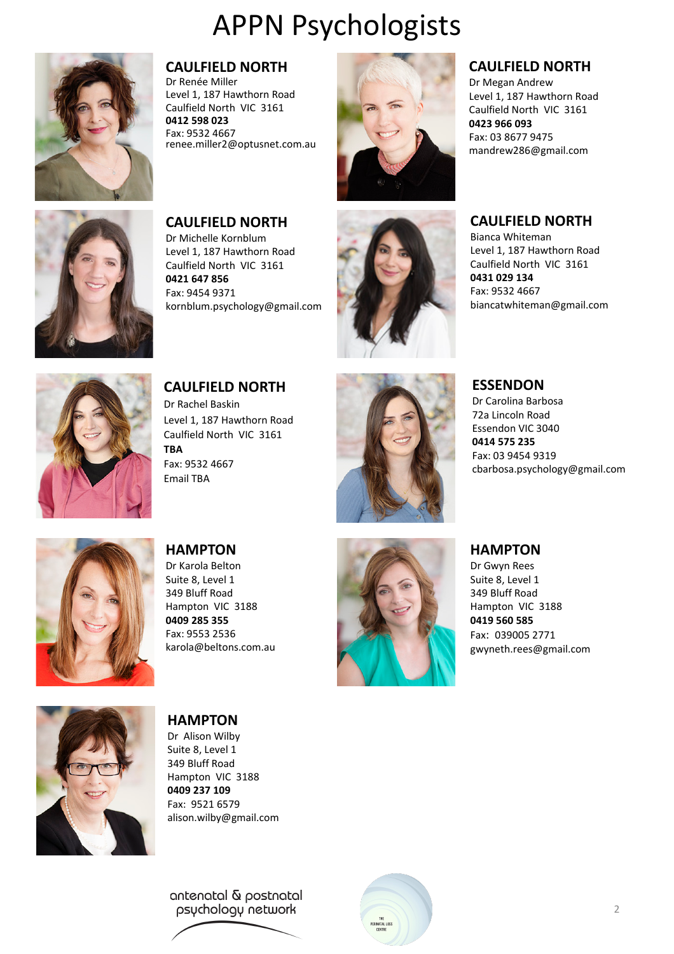

### **CAULFIELD NORTH**

**CAULFIELD NORTH** Dr Michelle Kornblum Level 1, 187 Hawthorn Road Caulfield North VIC 3161

kornblum.psychology@gmail.com

**0421 647 856** Fax: 9454 9371

Dr Renée Miller Level 1, 187 Hawthorn Road Caulfield North VIC 3161 **0412 598 023** Fax: 9532 4667 renee.miller2@optusnet.com.au



### **CAULFIELD NORTH**

Dr Megan Andrew Level 1, 187 Hawthorn Road Caulfield North VIC 3161 **0423 966 093** Fax: 03 8677 9475 mandrew286@gmail.com

### **CAULFIELD NORTH**

Bianca Whiteman Level 1, 187 Hawthorn Road Caulfield North VIC 3161 **0431 029 134** Fax: 9532 4667 biancatwhiteman@gmail.com

**CAULFIELD NORTH** Dr Rachel Baskin Level 1, 187 Hawthorn Road Caulfield North VIC 3161 **TBA** Fax: 9532 4667 Email TBA



### **ESSENDON**

Dr Carolina Barbosa 72a Lincoln Road Essendon VIC 3040 **0414 575 235** Fax: 03 9454 9319 cbarbosa.psychology@gmail.com



**HAMPTON** Dr Karola Belton Suite 8, Level 1 349 Bluff Road Hampton VIC 3188 **0409 285 355** Fax: 9553 2536 karola@beltons.com.au



#### **HAMPTON**

Dr Gwyn Rees Suite 8, Level 1 349 Bluff Road Hampton VIC 3188 **0419 560 585** Fax: 039005 2771 gwyneth.rees@gmail.com



**HAMPTON** Dr Alison Wilby Suite 8, Level 1 349 Bluff Road Hampton VIC 3188 **0409 237 109** Fax: 9521 6579 alison.wilby@gmail.com

antenatal & postnatal psychology network

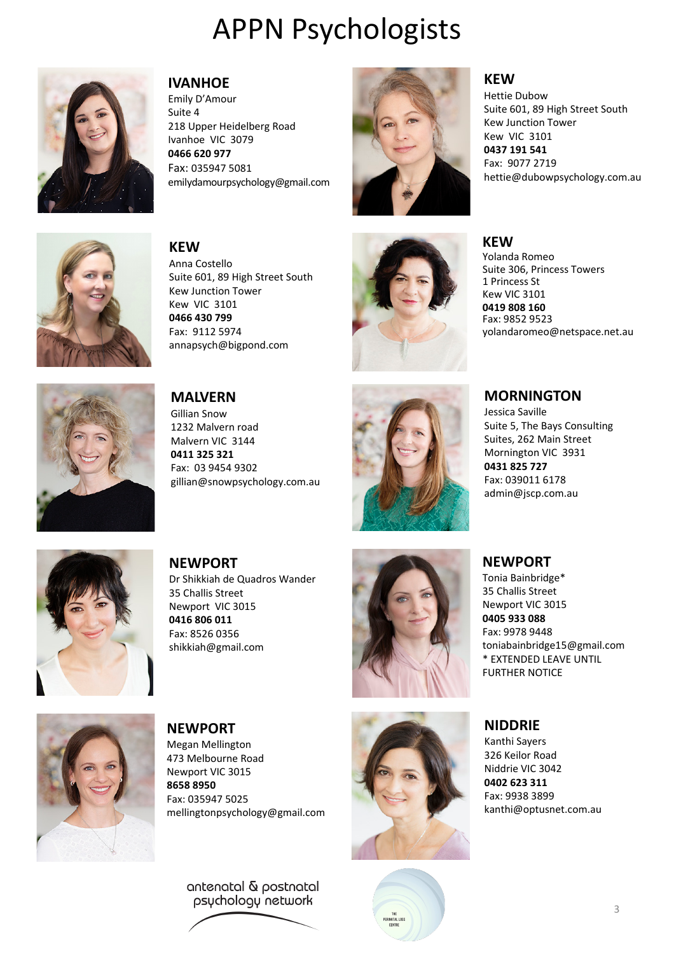

#### **IVANHOE**

Emily D'Amour Suite 4 218 Upper Heidelberg Road Ivanhoe VIC 3079 **0466 620 977** Fax: 035947 5081 emilydamourpsychology@gmail.com



### **KEW**

**KEW** 

Hettie Dubow Suite 601, 89 High Street South Kew Junction Tower Kew VIC 3101 **0437 191 541** Fax: 9077 2719 hettie@dubowpsychology.com.au



**KEW** Anna Costello Suite 601, 89 High Street South Kew Junction Tower Kew VIC 3101 **0466 430 799** Fax: 9112 5974 annapsych@bigpond.com



Yolanda Romeo Suite 306, Princess Towers 1 Princess St Kew VIC 3101

**0419 808 160** Fax: 9852 9523 yolandaromeo@netspace.net.au



**MALVERN** Gillian Snow 1232 Malvern road Malvern VIC 3144 **0411 325 321** Fax: 03 9454 9302 gillian@snowpsychology.com.au



### **MORNINGTON**

Jessica Saville Suite 5, The Bays Consulting Suites, 262 Main Street Mornington VIC 3931 **0431 825 727**



**NEWPORT** Dr Shikkiah de Quadros Wander 35 Challis Street Newport VIC 3015 **0416 806 011** Fax: 8526 0356 shikkiah@gmail.com







Fax: 039011 6178 admin@jscp.com.au

### **NEWPORT**

Tonia Bainbridge\* 35 Challis Street Newport VIC 3015 **0405 933 088** Fax: 9978 9448 toniabainbridge15@gmail.com \* EXTENDED LEAVE UNTIL FURTHER NOTICE

### **NIDDRIE**

Kanthi Sayers 326 Keilor Road Niddrie VIC 3042 **0402 623 311** Fax: 9938 3899 kanthi@optusnet.com.au



**NEWPORT** Megan Mellington 473 Melbourne Road Newport VIC 3015 **8658 8950** Fax: 035947 5025 mellingtonpsychology@gmail.com

> antenatal & postnatal psychology network